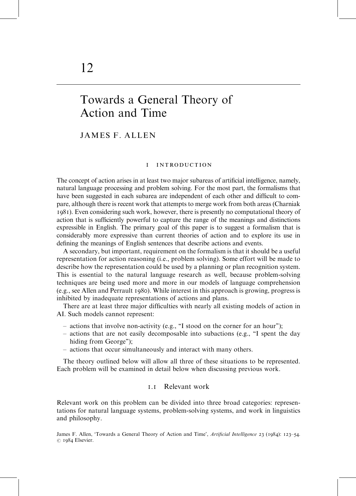# Towards a General Theory of Action and Time

JAMES F. ALLEN

### 1 introduction

The concept of action arises in at least two major subareas of artificial intelligence, namely, natural language processing and problem solving. For the most part, the formalisms that have been suggested in each subarea are independent of each other and difficult to compare, although there is recent work that attempts to merge work from both areas (Charniak 1981). Even considering such work, however, there is presently no computational theory of action that is sufficiently powerful to capture the range of the meanings and distinctions expressible in English. The primary goal of this paper is to suggest a formalism that is considerably more expressive than current theories of action and to explore its use in defining the meanings of English sentences that describe actions and events.

A secondary, but important, requirement on the formalism is that it should be a useful representation for action reasoning (i.e., problem solving). Some effort will be made to describe how the representation could be used by a planning or plan recognition system. This is essential to the natural language research as well, because problem-solving techniques are being used more and more in our models of language comprehension (e.g., see Allen and Perrault 1980). While interest in this approach is growing, progress is inhibited by inadequate representations of actions and plans.

There are at least three major difficulties with nearly all existing models of action in AI. Such models cannot represent:

- actions that involve non-activity (e.g., ''I stood on the corner for an hour'');
- $-$  actions that are not easily decomposable into subactions (e.g., "I spent the day hiding from George");
- actions that occur simultaneously and interact with many others.

The theory outlined below will allow all three of these situations to be represented. Each problem will be examined in detail below when discussing previous work.

# 1.1 Relevant work

Relevant work on this problem can be divided into three broad categories: representations for natural language systems, problem-solving systems, and work in linguistics and philosophy.

James F. Allen, 'Towards a General Theory of Action and Time', Artificial Intelligence 23 (1984): 123–54.  $© 1984 Elsevier.$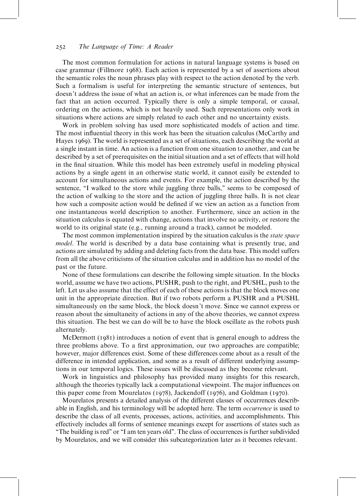The most common formulation for actions in natural language systems is based on case grammar (Fillmore 1968). Each action is represented by a set of assertions about the semantic roles the noun phrases play with respect to the action denoted by the verb. Such a formalism is useful for interpreting the semantic structure of sentences, but doesn't address the issue of what an action is, or what inferences can be made from the fact that an action occurred. Typically there is only a simple temporal, or causal, ordering on the actions, which is not heavily used. Such representations only work in situations where actions are simply related to each other and no uncertainty exists.

Work in problem solving has used more sophisticated models of action and time. The most influential theory in this work has been the situation calculus (McCarthy and Hayes 1969). The world is represented as a set of situations, each describing the world at a single instant in time. An action is a function from one situation to another, and can be described by a set of prerequisites on the initial situation and a set of effects that will hold in the final situation. While this model has been extremely useful in modeling physical actions by a single agent in an otherwise static world, it cannot easily be extended to account for simultaneous actions and events. For example, the action described by the sentence, "I walked to the store while juggling three balls," seems to be composed of the action of walking to the store and the action of juggling three balls. It is not clear how such a composite action would be defined if we view an action as a function from one instantaneous world description to another. Furthermore, since an action in the situation calculus is equated with change, actions that involve no activity, or restore the world to its original state (e.g., running around a track), cannot be modeled.

The most common implementation inspired by the situation calculus is the *state space* model. The world is described by a data base containing what is presently true, and actions are simulated by adding and deleting facts from the data base. This model suffers from all the above criticisms of the situation calculus and in addition has no model of the past or the future.

None of these formulations can describe the following simple situation. In the blocks world, assume we have two actions, PUSHR, push to the right, and PUSHL, push to the left. Let us also assume that the effect of each of these actions is that the block moves one unit in the appropriate direction. But if two robots perform a PUSHR and a PUSHL simultaneously on the same block, the block doesn't move. Since we cannot express or reason about the simultaneity of actions in any of the above theories, we cannot express this situation. The best we can do will be to have the block oscillate as the robots push alternately.

McDermott (1981) introduces a notion of event that is general enough to address the three problems above. To a first approximation, our two approaches are compatible; however, major differences exist. Some of these differences come about as a result of the difference in intended application, and some as a result of different underlying assumptions in our temporal logics. These issues will be discussed as they become relevant.

Work in linguistics and philosophy has provided many insights for this research, although the theories typically lack a computational viewpoint. The major influences on this paper come from Mourelatos (1978), Jackendoff (1976), and Goldman (1970).

Mourelatos presents a detailed analysis of the different classes of occurrences describable in English, and his terminology will be adopted here. The term *occurrence* is used to describe the class of all events, processes, actions, activities, and accomplishments. This effectively includes all forms of sentence meanings except for assertions of states such as ''The building is red'' or ''I am ten years old''. The class of occurrences is further subdivided by Mourelatos, and we will consider this subcategorization later as it becomes relevant.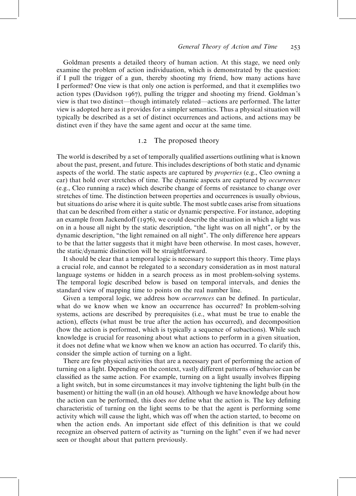Goldman presents a detailed theory of human action. At this stage, we need only examine the problem of action individuation, which is demonstrated by the question: if I pull the trigger of a gun, thereby shooting my friend, how many actions have I performed? One view is that only one action is performed, and that it exemplifies two action types (Davidson 1967), pulling the trigger and shooting my friend. Goldman's view is that two distinct—though intimately related—actions are performed. The latter view is adopted here as it provides for a simpler semantics. Thus a physical situation will typically be described as a set of distinct occurrences and actions, and actions may be distinct even if they have the same agent and occur at the same time.

#### 1.2 The proposed theory

The world is described by a set of temporally qualified assertions outlining what is known about the past, present, and future. This includes descriptions of both static and dynamic aspects of the world. The static aspects are captured by properties (e.g., Cleo owning a car) that hold over stretches of time. The dynamic aspects are captured by occurrences (e.g., Cleo running a race) which describe change of forms of resistance to change over stretches of time. The distinction between properties and occurrences is usually obvious, but situations do arise where it is quite subtle. The most subtle cases arise from situations that can be described from either a static or dynamic perspective. For instance, adopting an example from Jackendoff (1976), we could describe the situation in which a light was on in a house all night by the static description, ''the light was on all night'', or by the dynamic description, ''the light remained on all night''. The only difference here appears to be that the latter suggests that it might have been otherwise. In most cases, however, the static/dynamic distinction will be straightforward.

It should be clear that a temporal logic is necessary to support this theory. Time plays a crucial role, and cannot be relegated to a secondary consideration as in most natural language systems or hidden in a search process as in most problem-solving systems. The temporal logic described below is based on temporal intervals, and denies the standard view of mapping time to points on the real number line.

Given a temporal logic, we address how *occurrences* can be defined. In particular, what do we know when we know an occurrence has occurred? In problem-solving systems, actions are described by prerequisites (i.e., what must be true to enable the action), effects (what must be true after the action has occurred), and decomposition (how the action is performed, which is typically a sequence of subactions). While such knowledge is crucial for reasoning about what actions to perform in a given situation, it does not define what we know when we know an action has occurred. To clarify this, consider the simple action of turning on a light.

There are few physical activities that are a necessary part of performing the action of turning on a light. Depending on the context, vastly different patterns of behavior can be classified as the same action. For example, turning on a light usually involves flipping a light switch, but in some circumstances it may involve tightening the light bulb (in the basement) or hitting the wall (in an old house). Although we have knowledge about how the action can be performed, this does not define what the action is. The key defining characteristic of turning on the light seems to be that the agent is performing some activity which will cause the light, which was off when the action started, to become on when the action ends. An important side effect of this definition is that we could recognize an observed pattern of activity as ''turning on the light'' even if we had never seen or thought about that pattern previously.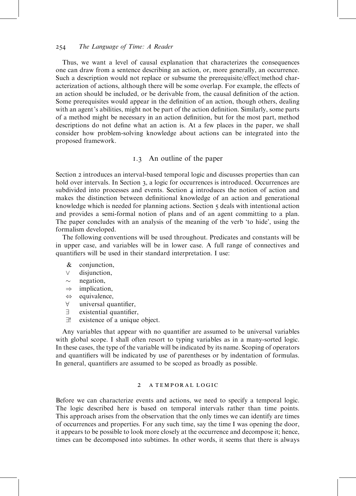Thus, we want a level of causal explanation that characterizes the consequences one can draw from a sentence describing an action, or, more generally, an occurrence. Such a description would not replace or subsume the prerequisite/effect/method characterization of actions, although there will be some overlap. For example, the effects of an action should be included, or be derivable from, the causal definition of the action. Some prerequisites would appear in the definition of an action, though others, dealing with an agent's abilities, might not be part of the action definition. Similarly, some parts of a method might be necessary in an action definition, but for the most part, method descriptions do not define what an action is. At a few places in the paper, we shall consider how problem-solving knowledge about actions can be integrated into the proposed framework.

### 1.3 An outline of the paper

Section 2 introduces an interval-based temporal logic and discusses properties than can hold over intervals. In Section 3, a logic for occurrences is introduced. Occurrences are subdivided into processes and events. Section 4 introduces the notion of action and makes the distinction between definitional knowledge of an action and generational knowledge which is needed for planning actions. Section 5 deals with intentional action and provides a semi-formal notion of plans and of an agent committing to a plan. The paper concludes with an analysis of the meaning of the verb 'to hide', using the formalism developed.

The following conventions will be used throughout. Predicates and constants will be in upper case, and variables will be in lower case. A full range of connectives and quantifiers will be used in their standard interpretation. I use:

- & conjunction,
- $\vee$  disjunction,
- $\sim$ negation,
- $\Rightarrow$  implication,
- $\Leftrightarrow$  equivalence,
- $\forall$  universal quantifier,
- $\exists$  existential quantifier,
- 9! existence of a unique object.

Any variables that appear with no quantifier are assumed to be universal variables with global scope. I shall often resort to typing variables as in a many-sorted logic. In these cases, the type of the variable will be indicated by its name. Scoping of operators and quantifiers will be indicated by use of parentheses or by indentation of formulas. In general, quantifiers are assumed to be scoped as broadly as possible.

#### 2 a temporal logic

Before we can characterize events and actions, we need to specify a temporal logic. The logic described here is based on temporal intervals rather than time points. This approach arises from the observation that the only times we can identify are times of occurrences and properties. For any such time, say the time I was opening the door, it appears to be possible to look more closely at the occurrence and decompose it; hence, times can be decomposed into subtimes. In other words, it seems that there is always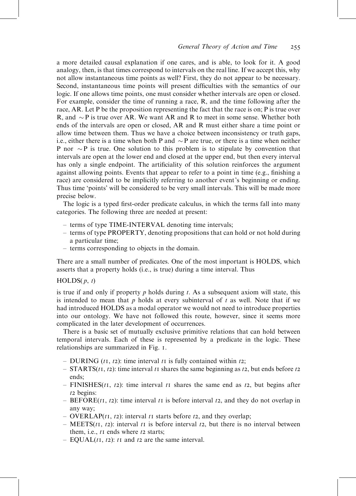a more detailed causal explanation if one cares, and is able, to look for it. A good analogy, then, is that times correspond to intervals on the real line. If we accept this, why not allow instantaneous time points as well? First, they do not appear to be necessary. Second, instantaneous time points will present difficulties with the semantics of our logic. If one allows time points, one must consider whether intervals are open or closed. For example, consider the time of running a race, R, and the time following after the race, AR. Let P be the proposition representing the fact that the race is on; P is true over R, and  $\sim$  P is true over AR. We want AR and R to meet in some sense. Whether both ends of the intervals are open or closed, AR and R must either share a time point or allow time between them. Thus we have a choice between inconsistency or truth gaps, i.e., either there is a time when both P and  $\sim$  P are true, or there is a time when neither P nor  $\sim$  P is true. One solution to this problem is to stipulate by convention that intervals are open at the lower end and closed at the upper end, but then every interval has only a single endpoint. The artificiality of this solution reinforces the argument against allowing points. Events that appear to refer to a point in time (e.g., finishing a race) are considered to be implicitly referring to another event's beginning or ending. Thus time 'points' will be considered to be very small intervals. This will be made more precise below.

The logic is a typed first-order predicate calculus, in which the terms fall into many categories. The following three are needed at present:

- terms of type TIME-INTERVAL denoting time intervals;
- terms of type PROPERTY, denoting propositions that can hold or not hold during a particular time;
- terms corresponding to objects in the domain.

There are a small number of predicates. One of the most important is HOLDS, which asserts that a property holds (i.e., is true) during a time interval. Thus

### $HOLDS(p, t)$

is true if and only if property  $p$  holds during  $t$ . As a subsequent axiom will state, this is intended to mean that  $p$  holds at every subinterval of  $t$  as well. Note that if we had introduced HOLDS as a modal operator we would not need to introduce properties into our ontology. We have not followed this route, however, since it seems more complicated in the later development of occurrences.

There is a basic set of mutually exclusive primitive relations that can hold between temporal intervals. Each of these is represented by a predicate in the logic. These relationships are summarized in Fig. 1.

- DURING ( $t_1$ ,  $t_2$ ): time interval  $t_1$  is fully contained within  $t_2$ ;
- STARTS( $t_1$ ,  $t_2$ ): time interval  $t_1$  shares the same beginning as  $t_2$ , but ends before  $t_2$ ends;
- FINISHES( $t_1$ ,  $t_2$ ): time interval  $t_1$  shares the same end as  $t_2$ , but begins after  $t2$  begins:
- BEFORE( $t_1$ ,  $t_2$ ): time interval  $t_1$  is before interval  $t_2$ , and they do not overlap in any way;
- OVERLAP( $t_1$ ,  $t_2$ ): interval  $t_1$  starts before  $t_2$ , and they overlap;
- MEETS( $t_1$ ,  $t_2$ ): interval  $t_1$  is before interval  $t_2$ , but there is no interval between them, i.e.,  $t_1$  ends where  $t_2$  starts;
- EQUAL( $t_1$ ,  $t_2$ ):  $t_1$  and  $t_2$  are the same interval.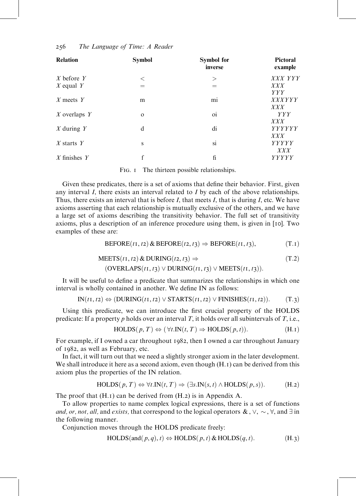| <b>Relation</b>  | <b>Symbol</b> | <b>Symbol for</b><br>inverse | Pictoral<br>example |
|------------------|---------------|------------------------------|---------------------|
| X before $Y$     | $\,<\,$       | >                            | XXX YYY             |
| $X$ equal $Y$    | $=$           | $=$                          | <i>XXX</i>          |
|                  |               |                              | <i>YYY</i>          |
| X meets $Y$      | m             | mi                           | <i>XXXYYY</i>       |
|                  |               |                              | <i>XXX</i>          |
| $X$ overlaps $Y$ | $\mathbf O$   | $\overline{0}$               | <i>YYY</i>          |
|                  |               |                              | <i>XXX</i>          |
| X during $Y$     | d             | di                           | <i>YYYYYY</i>       |
|                  |               |                              | <i>XXX</i>          |
| X starts $Y$     | S             | si                           | <i>YYYYY</i>        |
|                  |               |                              | <i>XXX</i>          |
| X finishes $Y$   | f             | $\mathbf{f}$                 | <i>YYYYY</i>        |
|                  |               |                              |                     |

FIG. I The thirteen possible relationships.

Given these predicates, there is a set of axioms that define their behavior. First, given any interval  $I$ , there exists an interval related to  $I$  by each of the above relationships. Thus, there exists an interval that is before I, that meets I, that is during I, etc. We have axioms asserting that each relationship is mutually exclusive of the others, and we have a large set of axioms describing the transitivity behavior. The full set of transitivity axioms, plus a description of an inference procedure using them, is given in [10]. Two examples of these are:

$$
BEFORE(t1, t2) & BEFORE(t2, t3) \Rightarrow BEFORE(t1, t3), \tag{T.I}
$$

$$
\begin{aligned} \text{MEETS}(t_1, t_2) &\& \text{DURING}(t_2, t_3) \Rightarrow \\ \text{(OVERLAPS}(t_1, t_3) \vee \text{DURING}(t_1, t_3) \vee \text{MEETS}(t_1, t_3)). \end{aligned} \tag{T.2}
$$

It will be useful to define a predicate that summarizes the relationships in which one interval is wholly contained in another. We define IN as follows:

$$
IN(t1, t2) \Leftrightarrow (DURING(t1, t2) \vee STARTS(t1, t2) \vee FINISHES(t1, t2)).
$$
 (T.3)

Using this predicate, we can introduce the first crucial property of the HOLDS predicate: If a property  $p$  holds over an interval  $T$ , it holds over all subintervals of  $T$ , i.e.,

$$
HOLDS(p, T) \Leftrightarrow (\forall t . \text{IN}(t, T) \Rightarrow HOLDS(p, t)). \tag{H.1}
$$

For example, if I owned a car throughout 1982, then I owned a car throughout January of 1982, as well as February, etc.

In fact, it will turn out that we need a slightly stronger axiom in the later development. We shall introduce it here as a second axiom, even though  $(H_1)$  can be derived from this axiom plus the properties of the IN relation.

$$
HOLDS(p, T) \Leftrightarrow \forall t. \text{IN}(t, T) \Rightarrow (\exists s. \text{IN}(s, t) \land \text{HOLDS}(p, s)). \tag{H.2}
$$

The proof that (H.1) can be derived from (H.2) is in Appendix A.

To allow properties to name complex logical expressions, there is a set of functions *and, or, not, all,* and *exists,* that correspond to the logical operators  $\&$  ,  $\vee$ ,  $\sim$  ,  $\forall$ , and  $\exists$  in the following manner.

Conjunction moves through the HOLDS predicate freely:

$$
HOLDS(and(p, q), t) \Leftrightarrow HOLDS(p, t) \& HOLDS(q, t).
$$
 (H.3)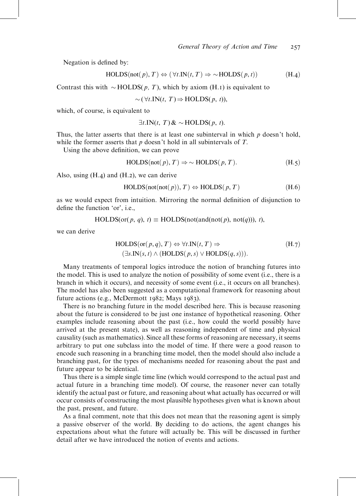Negation is defined by:

$$
HOLDS(not(p), T) \Leftrightarrow (\forall t . \text{IN}(t, T) \Rightarrow \sim \text{HOLDS}(p, t))
$$
\n(H.4)

Contrast this with  $\sim$  HOLDS(p, T), which by axiom (H.1) is equivalent to

$$
\sim (\forall t \cdot \text{IN}(t, T) \Rightarrow \text{HOLDS}(p, t)),
$$

which, of course, is equivalent to

$$
\exists t. \mathsf{IN}(t, T) \& \sim \mathsf{HOLDS}(p, t).
$$

Thus, the latter asserts that there is at least one subinterval in which  $p$  doesn't hold, while the former asserts that  $p$  doesn't hold in all subintervals of  $T$ .

Using the above definition, we can prove

$$
HOLDS(not(p), T) \Rightarrow \sim HOLDS(p, T). \tag{H.5}
$$

Also, using (H.4) and (H.2), we can derive

$$
HOLDS(not(not(p)), T) \Leftrightarrow HOLDS(p, T)
$$
 (H.6)

as we would expect from intuition. Mirroring the normal definition of disjunction to define the function 'or', i.e.,

$$
HOLDS(or(p, q), t) \equiv HOLDS(not(and(not(p), not(q))), t),
$$

we can derive

$$
HOLDS(or(p, q), T) \Leftrightarrow \forall t . IN(t, T) \Rightarrow
$$
  
(\exists s . IN(s, t) \land (HOLDS(p, s) \lor HOLDS(q, s))). (H.7)

Many treatments of temporal logics introduce the notion of branching futures into the model. This is used to analyze the notion of possibility of some event (i.e., there is a branch in which it occurs), and necessity of some event (i.e., it occurs on all branches). The model has also been suggested as a computational framework for reasoning about future actions (e.g., McDermott 1982; Mays 1983).

There is no branching future in the model described here. This is because reasoning about the future is considered to be just one instance of hypothetical reasoning. Other examples include reasoning about the past (i.e., how could the world possibly have arrived at the present state), as well as reasoning independent of time and physical causality (such as mathematics). Since all these forms of reasoning are necessary, it seems arbitrary to put one subclass into the model of time. If there were a good reason to encode such reasoning in a branching time model, then the model should also include a branching past, for the types of mechanisms needed for reasoning about the past and future appear to be identical.

Thus there is a simple single time line (which would correspond to the actual past and actual future in a branching time model). Of course, the reasoner never can totally identify the actual past or future, and reasoning about what actually has occurred or will occur consists of constructing the most plausible hypotheses given what is known about the past, present, and future.

As a final comment, note that this does not mean that the reasoning agent is simply a passive observer of the world. By deciding to do actions, the agent changes his expectations about what the future will actually be. This will be discussed in further detail after we have introduced the notion of events and actions.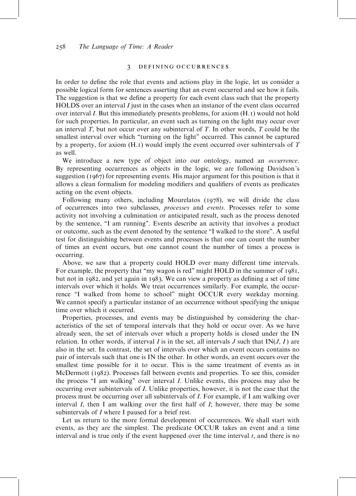## 3 defining occurrences

In order to define the role that events and actions play in the logic, let us consider a possible logical form for sentences asserting that an event occurred and see how it fails. The suggestion is that we define a property for each event class such that the property  $HOLDS$  over an interval  $I$  just in the cases when an instance of the event class occurred over interval I. But this immediately presents problems, for axiom (H.1) would not hold for such properties. In particular, an event such as turning on the light may occur over an interval  $T$ , but not occur over any subinterval of  $T$ . In other words,  $T$  could be the smallest interval over which "turning on the light" occurred. This cannot be captured by a property, for axiom  $(H, I)$  would imply the event occurred over subintervals of  $T$ as well.

We introduce a new type of object into our ontology, named an *occurrence*. By representing occurrences as objects in the logic, we are following Davidson's suggestion (1967) for representing events. His major argument for this position is that it allows a clean formalism for modeling modifiers and qualifiers of events as predicates acting on the event objects.

Following many others, including Mourelatos (1978), we will divide the class of occurrences into two subclasses, processes and events. Processes refer to some activity not involving a culmination or anticipated result, such as the process denoted by the sentence, "I am running". Events describe an activity that involves a product or outcome, such as the event denoted by the sentence ''I walked to the store''. A useful test for distinguishing between events and processes is that one can count the number of times an event occurs, but one cannot count the number of times a process is occurring.

Above, we saw that a property could HOLD over many different time intervals. For example, the property that ''my wagon is red'' might HOLD in the summer of 1981, but not in 1982, and yet again in 1983. We can view a property as defining a set of time intervals over which it holds. We treat occurrences similarly. For example, the occurrence "I walked from home to school" might OCCUR every weekday morning. We cannot specify a particular instance of an occurrence without specifying the unique time over which it occurred.

Properties, processes, and events may be distinguished by considering the characteristics of the set of temporal intervals that they hold or occur over. As we have already seen, the set of intervals over which a property holds is closed under the IN relation. In other words, if interval I is in the set, all intervals J such that  $IN(J, I)$  are also in the set. In contrast, the set of intervals over which an event occurs contains no pair of intervals such that one is IN the other. In other words, an event occurs over the smallest time possible for it to occur. This is the same treatment of events as in McDermott (1982). Processes fall between events and properties. To see this, consider the process "I am walking" over interval I. Unlike events, this process may also be occurring over subintervals of I. Unlike properties, however, it is not the case that the process must be occurring over all subintervals of I. For example, if I am walking over interval  $I$ , then I am walking over the first half of  $I$ ; however, there may be some subintervals of I where I paused for a brief rest.

Let us return to the more formal development of occurrences. We shall start with events, as they are the simplest. The predicate OCCUR takes an event and a time interval and is true only if the event happened over the time interval  $t$ , and there is no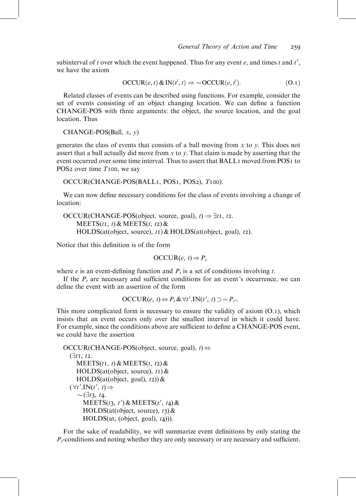subinterval of t over which the event happened. Thus for any event  $e$ , and times t and  $t'$ , we have the axiom

$$
OCCUR(e, t) & IN(t', t) \Rightarrow \sim OCCUR(e, t'). \tag{O.1}
$$

Related classes of events can be described using functions. For example, consider the set of events consisting of an object changing location. We can define a function CHANGE-POS with three arguments: the object, the source location, and the goal location. Thus

CHANGE-POS(Ball,  $x, y$ )

generates the class of events that consists of a ball moving from x to y. This does not assert that a ball actually did move from x to y. That claim is made by asserting that the event occurred over some time interval. Thus to assert that BALL1 moved from POS1 to POS2 over time T100, we say

OCCUR(CHANGE-POS(BALL1, POS1, POS2), T100).

We can now define necessary conditions for the class of events involving a change of location:

```
OCCUR(CHANGE-POS(object, source, goal), t) \Rightarrow \exists t<sub>I</sub>, t2.
    MEETS(t_1, t) & MEETS(t, t_2) &
    HOLDS(at(object, source), t1) & HOLDS(at(object, goal), t2).
```
Notice that this definition is of the form

 $OCCUR(e, t) \Rightarrow P_t$ 

where *e* is an event-defining function and  $P_t$  is a set of conditions involving t.

If the  $P_t$  are necessary and sufficient conditions for an event's occurrence, we can define the event with an assertion of the form

 $\mathrm{OCCUR}(e, t) \Leftrightarrow P_t \& \forall t'.\mathrm{IN}(t', t) \supset \sim P_{t'}.$ 

This more complicated form is necessary to ensure the validity of axiom  $(O.1)$ , which insists that an event occurs only over the smallest interval in which it could have. For example, since the conditions above are sufficient to define a CHANGE-POS event, we could have the assertion

```
OCCUR(CHANGE-POS(object, source, goal), t) \Leftrightarrow(\exists t<sub>I</sub>, t<sub>2</sub>.
    MEETS(t_1, t) & MEETS(t, t_2) &
    HOLDS(at(object, source), t_1) &
    HOLDS(at(object, goal), t_2)) &
  (\forall t'.IN(t', t) \Rightarrow\sim (\existst3, t4.
       MEETS(t_3, t') & MEETS(t', t_4) &
       HOLDS(at(object, source), t_3) &
       HOLDS(at, (object, goal), t4))).
```
For the sake of readability, we will summarize event definitions by only stating the  $P_t$ -conditions and noting whether they are only necessary or are necessary and sufficient.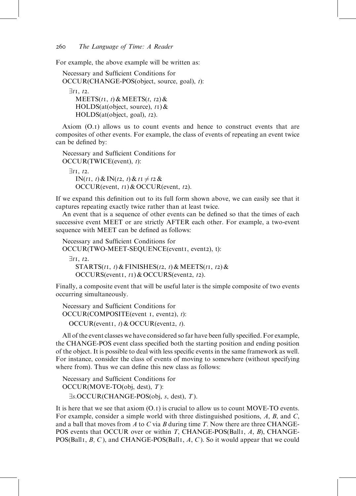For example, the above example will be written as:

Necessary and Sufficient Conditions for OCCUR(CHANGE-POS(object, source, goal), t):  $\exists$ t<sub>I</sub>, t<sub>2</sub>. MEETS( $t_1$ ,  $t_1$ ) & MEETS( $t_1$ ,  $t_2$ ) & HOLDS(at(object, source),  $t_1$ ) &

HOLDS(at(object, goal), t2).

Axiom (O.1) allows us to count events and hence to construct events that are composites of other events. For example, the class of events of repeating an event twice can be defined by:

Necessary and Sufficient Conditions for  $OCCUR(TWICE(event), t)$ :  $\exists$ t<sub>1</sub>, t<sub>2</sub>. IN(t<sub>1</sub>, t) & IN(t<sub>2</sub>, t) & t<sub>1</sub>  $\neq$  t<sub>2</sub> & OCCUR(event, t1) & OCCUR(event, t2).

If we expand this definition out to its full form shown above, we can easily see that it captures repeating exactly twice rather than at least twice.

An event that is a sequence of other events can be defined so that the times of each successive event MEET or are strictly AFTER each other. For example, a two-event sequence with MEET can be defined as follows:

Necessary and Sufficient Conditions for OCCUR(TWO-MEET-SEQUENCE(event1, event2), t):  $\exists$ t<sub>1</sub>, t<sub>2</sub>. STARTS( $t_1$ ,  $t)$  & FINISHES( $t_2$ ,  $t$ ) & MEETS( $t_1$ ,  $t_2$ ) & OCCURS(event1, t1) & OCCURS(event2, t2).

Finally, a composite event that will be useful later is the simple composite of two events occurring simultaneously.

Necessary and Sufficient Conditions for  $OCCUR(COMPOSITE(event 1, event 2), t)$ : OCCUR(eventi,  $t$ ) & OCCUR(event2,  $t$ ).

All of the event classes we have considered so far have been fully specified. For example, the CHANGE-POS event class specified both the starting position and ending position of the object. It is possible to deal with less specific events in the same framework as well. For instance, consider the class of events of moving to somewhere (without specifying where from). Thus we can define this new class as follows:

Necessary and Sufficient Conditions for OCCUR(MOVE-TO(obj, dest), T):  $\exists s. OCCUR(CHANGE-POS(obj, s, dest), T$ ).

It is here that we see that axiom  $(O, I)$  is crucial to allow us to count MOVE-TO events. For example, consider a simple world with three distinguished positions, A, B, and C, and a ball that moves from A to C via B during time T. Now there are three CHANGE-POS events that OCCUR over or within T, CHANGE-POS(Ball1,  $A$ ,  $B$ ), CHANGE-POS(Ball1, B, C), and CHANGE-POS(Ball1, A, C). So it would appear that we could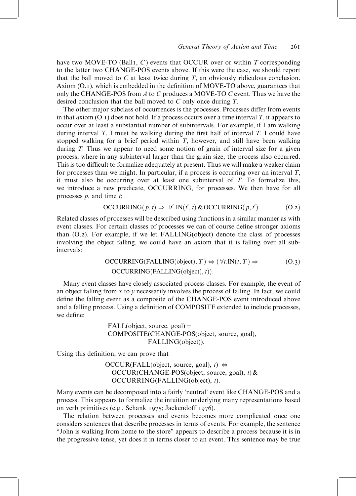have two MOVE-TO (Ball<sub>1</sub>, C) events that OCCUR over or within T corresponding to the latter two CHANGE-POS events above. If this were the case, we should report that the ball moved to  $C$  at least twice during  $T$ , an obviously ridiculous conclusion. Axiom (O.1), which is embedded in the definition of MOVE-TO above, guarantees that only the CHANGE-POS from  $A$  to  $C$  produces a MOVE-TO  $C$  event. Thus we have the desired conclusion that the ball moved to C only once during T.

The other major subclass of occurrences is the processes. Processes differ from events in that axiom  $(O, I)$  does not hold. If a process occurs over a time interval T, it appears to occur over at least a substantial number of subintervals. For example, if I am walking during interval T, I must be walking during the first half of interval T. I could have stopped walking for a brief period within  $T$ , however, and still have been walking during T. Thus we appear to need some notion of grain of interval size for a given process, where in any subinterval larger than the grain size, the process also occurred. This is too difficult to formalize adequately at present. Thus we will make a weaker claim for processes than we might. In particular, if a process is occurring over an interval  $T$ , it must also be occurring over at least one subinterval of  $T$ . To formalize this, we introduce a new predicate, OCCURRING, for processes. We then have for all processes  $p$ , and time  $t$ :

$$
OCCURRING(p, t) \Rightarrow \exists t'.IN(t', t) \& OCCURRING(p, t').
$$
 (0.2)

Related classes of processes will be described using functions in a similar manner as with event classes. For certain classes of processes we can of course define stronger axioms than (O.2). For example, if we let FALLING(object) denote the class of processes involving the object falling, we could have an axiom that it is falling over all subintervals:

$$
OCCURRING(FALLING(object), T) \Leftrightarrow (\forall t \cdot IN(t, T) \Rightarrow (O.3)
$$
  

$$
OCCURRING(FALLING(object), t)).
$$

Many event classes have closely associated process classes. For example, the event of an object falling from x to y necessarily involves the process of falling. In fact, we could define the falling event as a composite of the CHANGE-POS event introduced above and a falling process. Using a definition of COMPOSITE extended to include processes, we define:

> $FALL(object, source, goal) =$ COMPOSITE(CHANGE-POS(object, source, goal), FALLING(object)).

Using this definition, we can prove that

OCCUR(FALL(object, source, goal),  $t$ )  $\Leftrightarrow$ OCCUR(CHANGE-POS(object, source, goal),  $t$ ) & OCCURRING(FALLING(object), t).

Many events can be decomposed into a fairly 'neutral' event like CHANGE-POS and a process. This appears to formalize the intuition underlying many representations based on verb primitives (e.g., Schank 1975; Jackendoff 1976).

The relation between processes and events becomes more complicated once one considers sentences that describe processes in terms of events. For example, the sentence ''John is walking from home to the store'' appears to describe a process because it is in the progressive tense, yet does it in terms closer to an event. This sentence may be true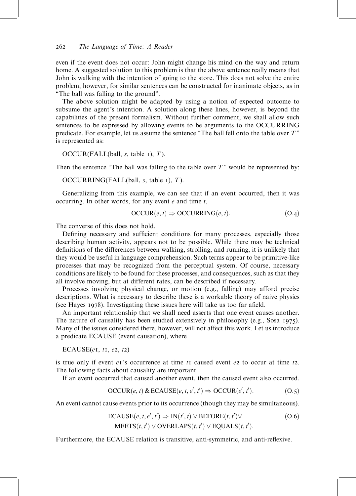even if the event does not occur: John might change his mind on the way and return home. A suggested solution to this problem is that the above sentence really means that John is walking with the intention of going to the store. This does not solve the entire problem, however, for similar sentences can be constructed for inanimate objects, as in ''The ball was falling to the ground''.

The above solution might be adapted by using a notion of expected outcome to subsume the agent's intention. A solution along these lines, however, is beyond the capabilities of the present formalism. Without further comment, we shall allow such sentences to be expressed by allowing events to be arguments to the OCCURRING predicate. For example, let us assume the sentence ''The ball fell onto the table over T '' is represented as:

#### OCCUR(FALL(ball,  $s$ , table 1),  $T$ ).

Then the sentence "The ball was falling to the table over  $T$ " would be represented by:

OCCURRING(FALL(ball,  $s$ , table 1),  $T$ ).

Generalizing from this example, we can see that if an event occurred, then it was occurring. In other words, for any event  $e$  and time  $t$ ,

$$
OCCUR(e, t) \Rightarrow OCCURRING(e, t). \tag{O.4}
$$

The converse of this does not hold.

Defining necessary and sufficient conditions for many processes, especially those describing human activity, appears not to be possible. While there may be technical definitions of the differences between walking, strolling, and running, it is unlikely that they would be useful in language comprehension. Such terms appear to be primitive-like processes that may be recognized from the perceptual system. Of course, necessary conditions are likely to be found for these processes, and consequences, such as that they all involve moving, but at different rates, can be described if necessary.

Processes involving physical change, or motion (e.g., falling) may afford precise descriptions. What is necessary to describe these is a workable theory of naive physics (see Hayes 1978). Investigating these issues here will take us too far afield.

An important relationship that we shall need asserts that one event causes another. The nature of causality has been studied extensively in philosophy (e.g., Sosa 1975). Many of the issues considered there, however, will not affect this work. Let us introduce a predicate ECAUSE (event causation), where

 $ECAUSE(e1, t1, e2, t2)$ 

is true only if event  $e1$ 's occurrence at time  $t1$  caused event  $e2$  to occur at time  $t2$ . The following facts about causality are important.

If an event occurred that caused another event, then the caused event also occurred.

$$
OCCUR(e, t) & ECAUSE(e, t, e', t') \Rightarrow OCCUR(e', t'). \tag{0.5}
$$

An event cannot cause events prior to its occurrence (though they may be simultaneous).

$$
ECAUSE(e, t, e', t') \Rightarrow IN(t', t) \lor BEFORE(t, t') \lor
$$
\n
$$
MEETS(t, t') \lor OVERLABS(t, t') \lor EQUALS(t, t').
$$
\n(0.6)

Furthermore, the ECAUSE relation is transitive, anti-symmetric, and anti-reflexive.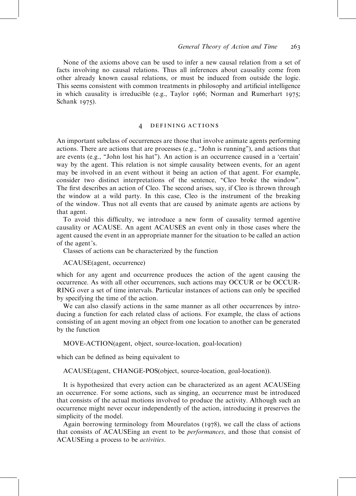None of the axioms above can be used to infer a new causal relation from a set of facts involving no causal relations. Thus all inferences about causality come from other already known causal relations, or must be induced from outside the logic. This seems consistent with common treatments in philosophy and artificial intelligence in which causality is irreducible (e.g., Taylor 1966; Norman and Rumerhart 1975; Schank 1975).

## 4 defining actions

An important subclass of occurrences are those that involve animate agents performing actions. There are actions that are processes (e.g., ''John is running''), and actions that are events (e.g., ''John lost his hat''). An action is an occurrence caused in a 'certain' way by the agent. This relation is not simple causality between events, for an agent may be involved in an event without it being an action of that agent. For example, consider two distinct interpretations of the sentence, "Cleo broke the window". The first describes an action of Cleo. The second arises, say, if Cleo is thrown through the window at a wild party. In this case, Cleo is the instrument of the breaking of the window. Thus not all events that are caused by animate agents are actions by that agent.

To avoid this difficulty, we introduce a new form of causality termed agentive causality or ACAUSE. An agent ACAUSES an event only in those cases where the agent caused the event in an appropriate manner for the situation to be called an action of the agent's.

Classes of actions can be characterized by the function

ACAUSE(agent, occurrence)

which for any agent and occurrence produces the action of the agent causing the occurrence. As with all other occurrences, such actions may OCCUR or be OCCUR-RING over a set of time intervals. Particular instances of actions can only be specified by specifying the time of the action.

We can also classify actions in the same manner as all other occurrences by introducing a function for each related class of actions. For example, the class of actions consisting of an agent moving an object from one location to another can be generated by the function

MOVE-ACTION(agent, object, source-location, goal-location)

which can be defined as being equivalent to

ACAUSE(agent, CHANGE-POS(object, source-location, goal-location)).

It is hypothesized that every action can be characterized as an agent ACAUSEing an occurrence. For some actions, such as singing, an occurrence must be introduced that consists of the actual motions involved to produce the activity. Although such an occurrence might never occur independently of the action, introducing it preserves the simplicity of the model.

Again borrowing terminology from Mourelatos (1978), we call the class of actions that consists of ACAUSEing an event to be performances, and those that consist of ACAUSEing a process to be activities.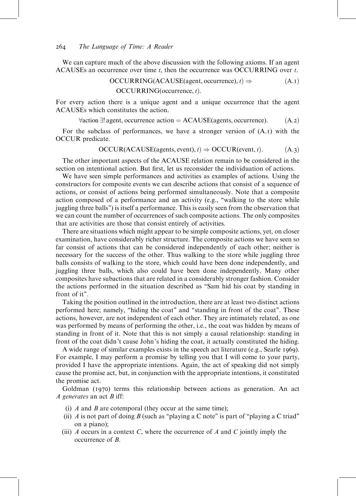We can capture much of the above discussion with the following axioms. If an agent ACAUSEs an occurrence over time  $t$ , then the occurrence was OCCURRING over  $t$ .

OCCURRING(ACAUSE(agent, occurrence),  $t$ )  $\Rightarrow$  (A.1)

OCCURRING(occurrence,  $t$ ).

For every action there is a unique agent and a unique occurrence that the agent ACAUSEs which constitutes the action.

 $\forall$  action  $\exists!$  agent, occurrence action = ACAUSE(agents, occurrence).  $(A.2)$ 

For the subclass of performances, we have a stronger version of (A.1) with the OCCUR predicate.

$$
OCCUR(ACAUSE(agents, event), t) \Rightarrow OCCUR(event, t). \tag{A.3}
$$

The other important aspects of the ACAUSE relation remain to be considered in the section on intentional action. But first, let us reconsider the individuation of actions.

We have seen simple performances and activities as examples of actions. Using the constructors for composite events we can describe actions that consist of a sequence of actions, or consist of actions being performed simultaneously. Note that a composite action composed of a performance and an activity (e.g., ''walking to the store while juggling three balls'') is itself a performance. This is easily seen from the observation that we can count the number of occurrences of such composite actions. The only composites that are activities are those that consist entirely of activities.

There are situations which might appear to be simple composite actions, yet, on closer examination, have considerably richer structure. The composite actions we have seen so far consist of actions that can be considered independently of each other; neither is necessary for the success of the other. Thus walking to the store while juggling three balls consists of walking to the store, which could have been done independently, and juggling three balls, which also could have been done independently. Many other composites have subactions that are related in a considerably stronger fashion. Consider the actions performed in the situation described as ''Sam hid his coat by standing in front of it''.

Taking the position outlined in the introduction, there are at least two distinct actions performed here; namely, "hiding the coat" and "standing in front of the coat". These actions, however, are not independent of each other. They are intimately related, as one was performed by means of performing the other, i.e., the coat was hidden by means of standing in front of it. Note that this is not simply a causal relationship: standing in front of the coat didn't cause John's hiding the coat, it actually constituted the hiding.

A wide range of similar examples exists in the speech act literature (e.g., Searle 1969). For example, I may perform a promise by telling youthat I will come to your party, provided I have the appropriate intentions. Again, the act of speaking did not simply cause the promise act, but, in conjunction with the appropriate intentions, it constituted the promise act.

Goldman (1970) terms this relationship between actions as generation. An act A generates an act  $B$  iff:

- (i)  $\vec{A}$  and  $\vec{B}$  are cotemporal (they occur at the same time);
- (ii) A is not part of doing B (such as "playing a C note" is part of "playing a C triad" on a piano);
- (iii) A occurs in a context C, where the occurrence of A and C jointly imply the occurrence of B.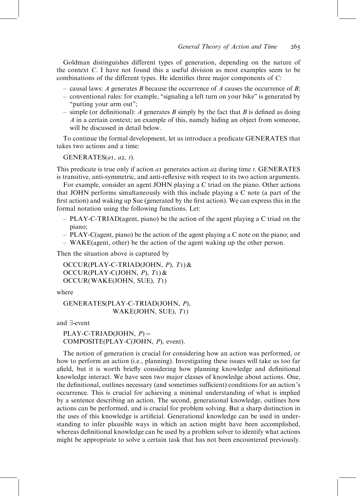Goldman distinguishes different types of generation, depending on the nature of the context  $C$ . I have not found this a useful division as most examples seem to be combinations of the different types. He identifies three major components of C:

- causal laws: A generates B because the occurrence of A causes the occurrence of B;
- conventional rules: for example, ''signaling a left turn on your bike'' is generated by ''putting your arm out'';
- simple (or definitional): A generates B simply by the fact that B is defined as doing A in a certain context; an example of this, namely hiding an object from someone, will be discussed in detail below.

To continue the formal development, let us introduce a predicate GENERATES that takes two actions and a time:

GENERATES $(a1, a2, t)$ .

This predicate is true only if action  $a_1$  generates action  $a_2$  during time  $t$ . GENERATES is transitive, anti-symmetric, and anti-reflexive with respect to its two action arguments.

For example, consider an agent JOHN playing a C triad on the piano. Other actions that JOHN performs simultaneously with this include playing a C note (a part of the first action) and waking up Sue (generated by the first action). We can express this in the formal notation using the following functions. Let:

- PLAY-C-TRIAD(agent, piano) be the action of the agent playing a C triad on the piano;
- PLAY-C(agent, piano) be the action of the agent playing a C note on the piano; and
- WAKE(agent, other) be the action of the agent waking up the other person.

Then the situation above is captured by

OCCUR(PLAY-C-TRIAD(JOHN, P), T1) & OCCUR(PLAY-C(JOHN,  $P$ ),  $T_1$ ) & OCCUR(WAKE(JOHN, SUE), T1)

where

```
GENERATES(PLAY-C-TRIAD(JOHN, P),
           WAKE(JOHN, SUE), T1)
```
and  $\exists$ -event

```
PLAY-C-TRIAD(JOHN, P) =COMPOSITE(PLAY-C(JOHN, P), event).
```
The notion of generation is crucial for considering how an action was performed, or how to perform an action (i.e., planning). Investigating these issues will take us too far afield, but it is worth briefly considering how planning knowledge and definitional knowledge interact. We have seen two major classes of knowledge about actions. One, the definitional, outlines necessary (and sometimes sufficient) conditions for an action's occurrence. This is crucial for achieving a minimal understanding of what is implied by a sentence describing an action. The second, generational knowledge, outlines how actions can be performed, and is crucial for problem solving. But a sharp distinction in the uses of this knowledge is artificial. Generational knowledge can be used in understanding to infer plausible ways in which an action might have been accomplished, whereas definitional knowledge can be used by a problem solver to identify what actions might be appropriate to solve a certain task that has not been encountered previously.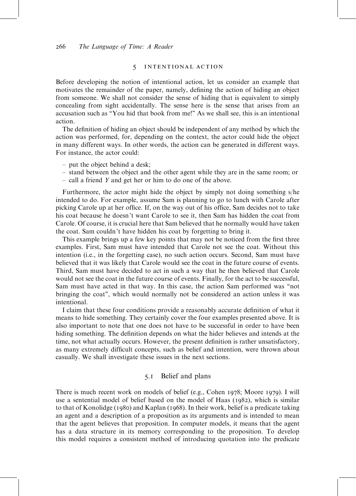### 5 intentional action

Before developing the notion of intentional action, let us consider an example that motivates the remainder of the paper, namely, defining the action of hiding an object from someone. We shall not consider the sense of hiding that is equivalent to simply concealing from sight accidentally. The sense here is the sense that arises from an accusation such as ''You hid that book from me!'' As we shall see, this is an intentional action.

The definition of hiding an object should be independent of any method by which the action was performed, for, depending on the context, the actor could hide the object in many different ways. In other words, the action can be generated in different ways. For instance, the actor could:

- put the object behind a desk;
- stand between the object and the other agent while they are in the same room; or
- call a friend Y and get her or him to do one of the above.

Furthermore, the actor might hide the object by simply not doing something s/he intended to do. For example, assume Sam is planning to go to lunch with Carole after picking Carole up at her office. If, on the way out of his office, Sam decides not to take his coat because he doesn't want Carole to see it, then Sam has hidden the coat from Carole. Of course, it is crucial here that Sam believed that he normally would have taken the coat. Sam couldn't have hidden his coat by forgetting to bring it.

This example brings up a few key points that may not be noticed from the first three examples. First, Sam must have intended that Carole not see the coat. Without this intention (i.e., in the forgetting case), no such action occurs. Second, Sam must have believed that it was likely that Carole would see the coat in the future course of events. Third, Sam must have decided to act in such a way that he then believed that Carole would not see the coat in the future course of events. Finally, for the act to be successful, Sam must have acted in that way. In this case, the action Sam performed was ''not bringing the coat'', which would normally not be considered an action unless it was intentional.

I claim that these four conditions provide a reasonably accurate definition of what it means to hide something. They certainly cover the four examples presented above. It is also important to note that one does not have to be successful in order to have been hiding something. The definition depends on what the hider believes and intends at the time, not what actually occurs. However, the present definition is rather unsatisfactory, as many extremely difficult concepts, such as belief and intention, were thrown about casually. We shall investigate these issues in the next sections.

# 5.1 Belief and plans

There is much recent work on models of belief (e.g., Cohen 1978; Moore 1979). I will use a sentential model of belief based on the model of Haas (1982), which is similar to that of Konolidge (1980) and Kaplan (1968). In their work, belief is a predicate taking an agent and a description of a proposition as its arguments and is intended to mean that the agent believes that proposition. In computer models, it means that the agent has a data structure in its memory corresponding to the proposition. To develop this model requires a consistent method of introducing quotation into the predicate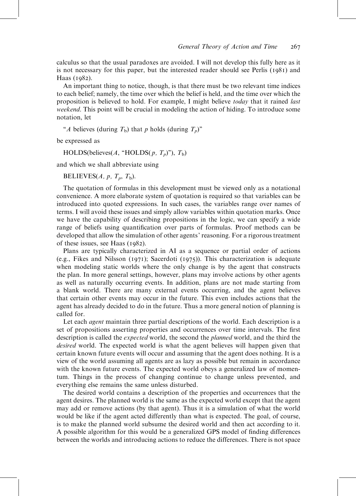calculus so that the usual paradoxes are avoided. I will not develop this fully here as it is not necessary for this paper, but the interested reader should see Perlis (1981) and Haas (1982).

An important thing to notice, though, is that there must be two relevant time indices to each belief; namely, the time over which the belief is held, and the time over which the proposition is believed to hold. For example, I might believe *today* that it rained *last* weekend. This point will be crucial in modeling the action of hiding. To introduce some notation, let

"A believes (during  $T_b$ ) that p holds (during  $T_p$ )"

be expressed as

HOLDS(believes(A, "HOLDS(p,  $T_p$ )"),  $T_b$ )

and which we shall abbreviate using

BELIEVES $(A, p, T_p, T_b)$ .

The quotation of formulas in this development must be viewed only as a notational convenience. A more elaborate system of quotation is required so that variables can be introduced into quoted expressions. In such cases, the variables range over names of terms. I will avoid these issues and simply allow variables within quotation marks. Once we have the capability of describing propositions in the logic, we can specify a wide range of beliefs using quantification over parts of formulas. Proof methods can be developed that allow the simulation of other agents' reasoning. For a rigorous treatment of these issues, see Haas (1982).

Plans are typically characterized in AI as a sequence or partial order of actions (e.g., Fikes and Nilsson (1971); Sacerdoti (1975)). This characterization is adequate when modeling static worlds where the only change is by the agent that constructs the plan. In more general settings, however, plans may involve actions by other agents as well as naturally occurring events. In addition, plans are not made starting from a blank world. There are many external events occurring, and the agent believes that certain other events may occur in the future. This even includes actions that the agent has already decided to do in the future. Thus a more general notion of planning is called for.

Let each *agent* maintain three partial descriptions of the world. Each description is a set of propositions asserting properties and occurrences over time intervals. The first description is called the expected world, the second the planned world, and the third the desired world. The expected world is what the agent believes will happen given that certain known future events will occur and assuming that the agent does nothing. It is a view of the world assuming all agents are as lazy as possible but remain in accordance with the known future events. The expected world obeys a generalized law of momentum. Things in the process of changing continue to change unless prevented, and everything else remains the same unless disturbed.

The desired world contains a description of the properties and occurrences that the agent desires. The planned world is the same as the expected world except that the agent may add or remove actions (by that agent). Thus it is a simulation of what the world would be like if the agent acted differently than what is expected. The goal, of course, is to make the planned world subsume the desired world and then act according to it. A possible algorithm for this would be a generalized GPS model of finding differences between the worlds and introducing actions to reduce the differences. There is not space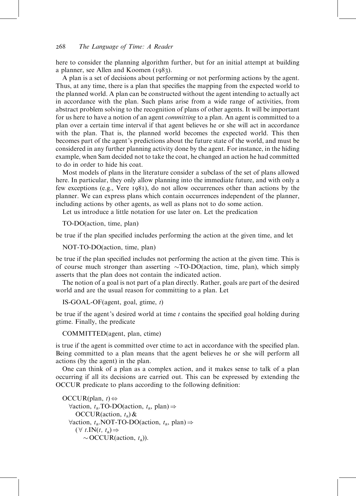here to consider the planning algorithm further, but for an initial attempt at building a planner, see Allen and Koomen (1983).

A plan is a set of decisions about performing or not performing actions by the agent. Thus, at any time, there is a plan that specifies the mapping from the expected world to the planned world. A plan can be constructed without the agent intending to actually act in accordance with the plan. Such plans arise from a wide range of activities, from abstract problem solving to the recognition of plans of other agents. It will be important for us here to have a notion of an agent *committing* to a plan. An agent is committed to a plan over a certain time interval if that agent believes he or she will act in accordance with the plan. That is, the planned world becomes the expected world. This then becomes part of the agent's predictions about the future state of the world, and must be considered in any further planning activity done by the agent. For instance, in the hiding example, when Sam decided not to take the coat, he changed an action he had committed to do in order to hide his coat.

Most models of plans in the literature consider a subclass of the set of plans allowed here. In particular, they only allow planning into the immediate future, and with only a few exceptions (e.g., Vere 1981), do not allow occurrences other than actions by the planner. We can express plans which contain occurrences independent of the planner, including actions by other agents, as well as plans not to do some action.

Let us introduce a little notation for use later on. Let the predication

TO-DO(action, time, plan)

be true if the plan specified includes performing the action at the given time, and let

NOT-TO-DO(action, time, plan)

be true if the plan specified includes not performing the action at the given time. This is of course much stronger than asserting  $\sim$  TO-DO(action, time, plan), which simply asserts that the plan does not contain the indicated action.

The notion of a goal is not part of a plan directly. Rather, goals are part of the desired world and are the usual reason for committing to a plan. Let

IS-GOAL-OF(agent, goal, gtime, t)

be true if the agent's desired world at time  $t$  contains the specified goal holding during gtime. Finally, the predicate

COMMITTED(agent, plan, ctime)

is true if the agent is committed over ctime to act in accordance with the specified plan. Being committed to a plan means that the agent believes he or she will perform all actions (by the agent) in the plan.

One can think of a plan as a complex action, and it makes sense to talk of a plan occurring if all its decisions are carried out. This can be expressed by extending the OCCUR predicate to plans according to the following definition:

```
OCCUR(plan, t) \Leftrightarrow\forall action, t_a.TO-DO(action, t_a, plan) \RightarrowOCCUR(action, t_a) &
  \forall action, t_a. NOT-TO-DO(action, t_a, plan) \Rightarrow(\forall t \cdot \text{IN}(t, t_{\text{a}}) \Rightarrow\sim OCCUR(action, t_a)).
```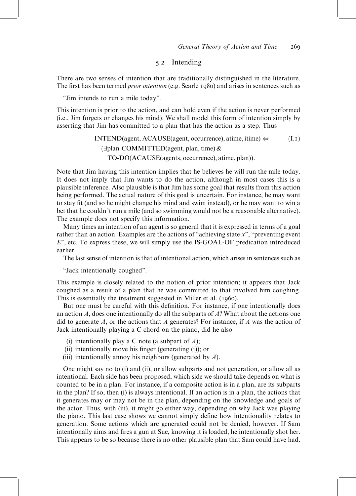# 5.2 Intending

There are two senses of intention that are traditionally distinguished in the literature. The first has been termed prior intention (e.g. Searle 1980) and arises in sentences such as

''Jim intends to run a mile today''.

This intention is prior to the action, and can hold even if the action is never performed (i.e., Jim forgets or changes his mind). We shall model this form of intention simply by asserting that Jim has committed to a plan that has the action as a step. Thus

> INTEND(agent, ACAUSE(agent, occurrence), atime, itime)  $\Leftrightarrow$  (I.1)  $\Theta$ lan COMMITTED(agent, plan, time) & TO-DO(ACAUSE(agents, occurrence), atime, plan)):

Note that Jim having this intention implies that he believes he will run the mile today. It does not imply that Jim wants to do the action, although in most cases this is a plausible inference. Also plausible is that Jim has some goal that results from this action being performed. The actual nature of this goal is uncertain. For instance, he may want to stay fit (and so he might change his mind and swim instead), or he may want to win a bet that he couldn't run a mile (and so swimming would not be a reasonable alternative). The example does not specify this information.

Many times an intention of an agent is so general that it is expressed in terms of a goal rather than an action. Examples are the actions of "achieving state x", "preventing event"  $E^{\prime\prime}$ , etc. To express these, we will simply use the IS-GOAL-OF predication introduced earlier.

The last sense of intention is that of intentional action, which arises in sentences such as

''Jack intentionally coughed''.

This example is closely related to the notion of prior intention; it appears that Jack coughed as a result of a plan that he was committed to that involved him coughing. This is essentially the treatment suggested in Miller et al. (1960).

But one must be careful with this definition. For instance, if one intentionally does an action  $A$ , does one intentionally do all the subparts of  $A$ ? What about the actions one did to generate A, or the actions that A generates? For instance, if A was the action of Jack intentionally playing a C chord on the piano, did he also

- (i) intentionally play a C note (a subpart of  $A$ );
- (ii) intentionally move his finger (generating (i)); or
- (iii) intentionally annoy his neighbors (generated by  $A$ ).

One might say no to (i) and (ii), or allow subparts and not generation, or allow all as intentional. Each side has been proposed; which side we should take depends on what is counted to be in a plan. For instance, if a composite action is in a plan, are its subparts in the plan? If so, then (i) is always intentional. If an action is in a plan, the actions that it generates may or may not be in the plan, depending on the knowledge and goals of the actor. Thus, with (iii), it might go either way, depending on why Jack was playing the piano. This last case shows we cannot simply define how intentionality relates to generation. Some actions which are generated could not be denied, however. If Sam intentionally aims and fires a gun at Sue, knowing it is loaded, he intentionally shot her. This appears to be so because there is no other plausible plan that Sam could have had.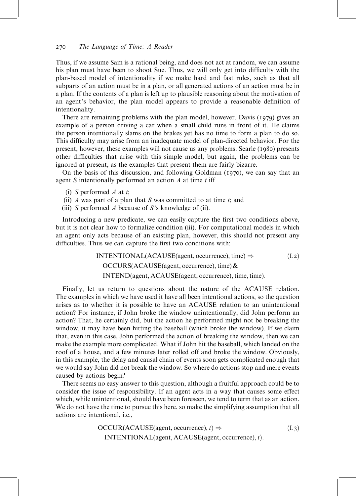Thus, if we assume Sam is a rational being, and does not act at random, we can assume his plan must have been to shoot Sue. Thus, we will only get into difficulty with the plan-based model of intentionality if we make hard and fast rules, such as that all subparts of an action must be in a plan, or all generated actions of an action must be in a plan. If the contents of a plan is left up to plausible reasoning about the motivation of an agent's behavior, the plan model appears to provide a reasonable definition of intentionality.

There are remaining problems with the plan model, however. Davis (1979) gives an example of a person driving a car when a small child runs in front of it. He claims the person intentionally slams on the brakes yet has no time to form a plan to do so. This difficulty may arise from an inadequate model of plan-directed behavior. For the present, however, these examples will not cause us any problems. Searle (1980) presents other difficulties that arise with this simple model, but again, the problems can be ignored at present, as the examples that present them are fairly bizarre.

On the basis of this discussion, and following Goldman (1970), we can say that an agent S intentionally performed an action  $A$  at time  $t$  iff

- (i) S performed A at t;
- (ii) A was part of a plan that S was committed to at time  $t$ ; and
- (iii) S performed A because of S's knowledge of (ii).

Introducing a new predicate, we can easily capture the first two conditions above, but it is not clear how to formalize condition (iii). For computational models in which an agent only acts because of an existing plan, however, this should not present any difficulties. Thus we can capture the first two conditions with:

> INTENTIONAL(ACAUSE(agent, occurrence), time)  $\Rightarrow$  (I.2) OCCURS(ACAUSE(agent, occurrence), time) & INTEND(agent, ACAUSE(agent, occurrence), time, time):

Finally, let us return to questions about the nature of the ACAUSE relation. The examples in which we have used it have all been intentional actions, so the question arises as to whether it is possible to have an ACAUSE relation to an unintentional action? For instance, if John broke the window unintentionally, did John perform an action? That, he certainly did, but the action he performed might not be breaking the window, it may have been hitting the baseball (which broke the window). If we claim that, even in this case, John performed the action of breaking the window, then we can make the example more complicated. What if John hit the baseball, which landed on the roof of a house, and a few minutes later rolled off and broke the window. Obviously, in this example, the delay and causal chain of events soon gets complicated enough that we would say John did not break the window. So where do actions stop and mere events caused by actions begin?

There seems no easy answer to this question, although a fruitful approach could be to consider the issue of responsibility. If an agent acts in a way that causes some effect which, while unintentional, should have been foreseen, we tend to term that as an action. We do not have the time to pursue this here, so make the simplifying assumption that all actions are intentional, i.e.,

$$
OCCUR(ACAUSE(agent, occurrence), t) \Rightarrow (I.3)
$$
  
INTERTIONAL(agent, ACAUSE(agent, occurrence), t).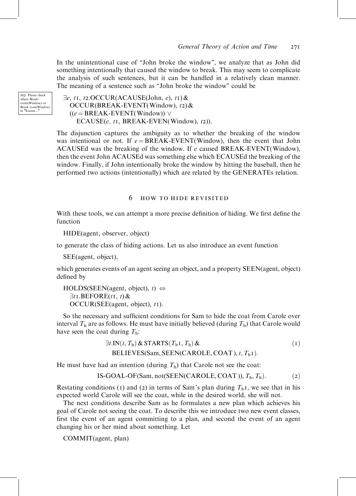In the unintentional case of ''John broke the window'', we analyze that as John did something intentionally that caused the window to break. This may seem to complicate the analysis of such sentences, but it can be handled in a relatively clean manner. The meaning of a sentence such as "John broke the window" could be

AQ: Please check where Breakevent(Window) or Break even(Window) in "Ecause..."

 $\exists e, t$ I,  $t$ 2.OCCUR(ACAUSE(John,  $e$ ),  $t$ I) & OCCUR(BREAK-EVENT(Window), t2) &  $((e = BREAK-EVENT(Window))$   $\vee$  $ECAUSE(e, tI, BREAK-EVEN(Window), t2)).$ 

The disjunction captures the ambiguity as to whether the breaking of the window was intentional or not. If  $e = BREAK-EVENT(Window)$ , then the event that John ACAUSEd was the breaking of the window. If  $e$  caused BREAK-EVENT(Window), then the event John ACAUSEd was something else which ECAUSEd the breaking of the window. Finally, if John intentionally broke the window by hitting the baseball, then he performed two actions (intentionally) which are related by the GENERATEs relation.

## 6 how to hide revisited

With these tools, we can attempt a more precise definition of hiding. We first define the function

HIDE(agent, observer, object)

to generate the class of hiding actions. Let us also introduce an event function

SEE(agent, object),

which generates events of an agent seeing an object, and a property SEEN(agent, object) defined by

HOLDS(SEEN(agent, object),  $t$ )  $\Leftrightarrow$  $\exists t$ I.BEFORE $(t)$ I,  $t$ ) & OCCUR(SEE(agent, object),  $tI$ ).

So the necessary and sufficient conditions for Sam to hide the coat from Carole over interval  $T<sub>h</sub>$  are as follows. He must have initially believed (during  $T<sub>b</sub>$ ) that Carole would have seen the coat during  $T<sub>h</sub>$ :

$$
\exists t. \text{IN}(t, T_{\text{h}}) \& \text{STARTS}(T_{\text{b}} \text{I}, T_{\text{h}}) \& \tag{1}
$$
\n
$$
\text{BELIEVES(Sam, SEEN(CAROLE, COAT), t, T_{\text{b}} \text{I}).
$$

He must have had an intention (during  $T<sub>h</sub>$ ) that Carole not see the coat:

$$
IS-GOAL-OF(Sam, not (SEEN(CAROLE, COAT)), Th, Th).
$$
 (2)

Restating conditions (1) and (2) in terms of Sam's plan during  $T<sub>b</sub>$ , we see that in his expected world Carole will see the coat, while in the desired world, she will not.

The next conditions describe Sam as he formulates a new plan which achieves his goal of Carole not seeing the coat. To describe this we introduce two new event classes, first the event of an agent committing to a plan, and second the event of an agent changing his or her mind about something. Let

COMMIT(agent, plan)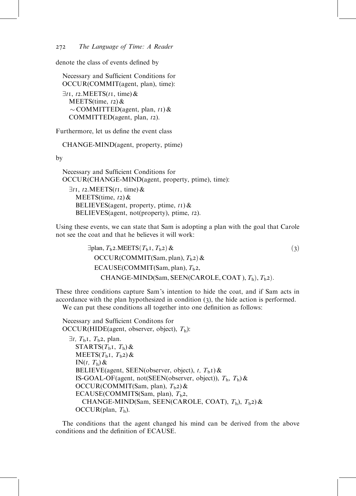denote the class of events defined by

Necessary and Sufficient Conditions for OCCUR(COMMIT(agent, plan), time):  $\exists t$ I, t2.MEETS(t<sub>I</sub>, time) & MEETS(time,  $t_2$ ) &  $\sim$  COMMITTED(agent, plan, t1) & COMMITTED(agent, plan, t2).

Furthermore, let us define the event class

CHANGE-MIND(agent, property, ptime)

by

Necessary and Sufficient Conditions for OCCUR(CHANGE-MIND(agent, property, ptime), time):  $\exists t$ I, t2.MEETS(t<sub>I</sub>, time) & MEETS(time,  $t_2$ ) & BELIEVES(agent, property, ptime,  $tI)$  & BELIEVES(agent, not(property), ptime, t2).

Using these events, we can state that Sam is adopting a plan with the goal that Carole not see the coat and that he believes it will work:

```
\existsplan, T_b2.MEETS(T_b I, T_b 2) & (3)OCCUR(COMMIT(Sam, plan), T_b2) &
ECAUSE(COMMIT(Sam, plan), T<sub>b</sub>2,
  CHANGE-MIND(Sam, SEEN(CAROLE, COAT), T<sub>h</sub>), T<sub>b</sub>2).
```
These three conditions capture Sam's intention to hide the coat, and if Sam acts in accordance with the plan hypothesized in condition (3), the hide action is performed. We can put these conditions all together into one definition as follows:

Necessary and Sufficient Conditons for OCCUR(HIDE(agent, observer, object),  $T<sub>h</sub>$ ):

```
\exists t, T_{\text{b}}I, T_{\text{b}}2, plan.
 STARTS(T_bI, T_h)&
  MEETS(T<sub>b</sub>I, T<sub>b</sub>2)&
 IN(t, T<sub>h</sub>) &
  BELIEVE(agent, SEEN(observer, object), t, T_bI) &
  IS-GOAL-OF(agent, not(SEEN(observer, object)), T<sub>h</sub>, T<sub>h</sub>) &
  OCCUR(COMMIT(Sam, plan), T_b2) &
  ECAUSE(COMMITS(Sam, plan), T<sub>b</sub>2,
    CHANGE-MIND(Sam, SEEN(CAROLE, COAT), T<sub>h</sub>), T<sub>b</sub>2) &
 OCCUR(plan, T<sub>h</sub>).
```
The conditions that the agent changed his mind can be derived from the above conditions and the definition of ECAUSE.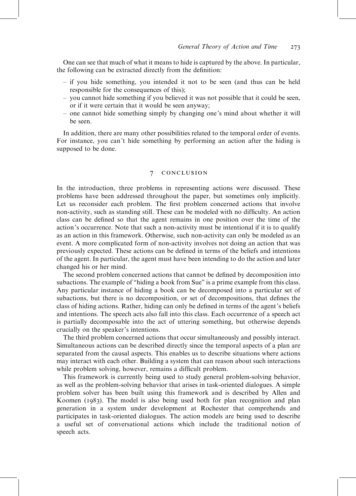One can see that much of what it means to hide is captured by the above. In particular, the following can be extracted directly from the definition:

- $-$  if you hide something, you intended it not to be seen (and thus can be held responsible for the consequences of this);
- youcannot hide something if youbelieved it was not possible that it could be seen, or if it were certain that it would be seen anyway;
- one cannot hide something simply by changing one's mind about whether it will be seen.

In addition, there are many other possibilities related to the temporal order of events. For instance, you can't hide something by performing an action after the hiding is supposed to be done.

## 7 conclusion

In the introduction, three problems in representing actions were discussed. These problems have been addressed throughout the paper, but sometimes only implicitly. Let us reconsider each problem. The first problem concerned actions that involve non-activity, such as standing still. These can be modeled with no difficulty. An action class can be defined so that the agent remains in one position over the time of the action's occurrence. Note that such a non-activity must be intentional if it is to qualify as an action in this framework. Otherwise, such non-activity can only be modeled as an event. A more complicated form of non-activity involves not doing an action that was previously expected. These actions can be defined in terms of the beliefs and intentions of the agent. In particular, the agent must have been intending to do the action and later changed his or her mind.

The second problem concerned actions that cannot be defined by decomposition into subactions. The example of "hiding a book from Sue" is a prime example from this class. Any particular instance of hiding a book can be decomposed into a particular set of subactions, but there is no decomposition, or set of decompositions, that defines the class of hiding actions. Rather, hiding can only be defined in terms of the agent's beliefs and intentions. The speech acts also fall into this class. Each occurrence of a speech act is partially decomposable into the act of uttering something, but otherwise depends crucially on the speaker's intentions.

The third problem concerned actions that occur simultaneously and possibly interact. Simultaneous actions can be described directly since the temporal aspects of a plan are separated from the causal aspects. This enables us to describe situations where actions may interact with each other. Building a system that can reason about such interactions while problem solving, however, remains a difficult problem.

This framework is currently being used to study general problem-solving behavior, as well as the problem-solving behavior that arises in task-oriented dialogues. A simple problem solver has been built using this framework and is described by Allen and Koomen (1983). The model is also being used both for plan recognition and plan generation in a system under development at Rochester that comprehends and participates in task-oriented dialogues. The action models are being used to describe a useful set of conversational actions which include the traditional notion of speech acts.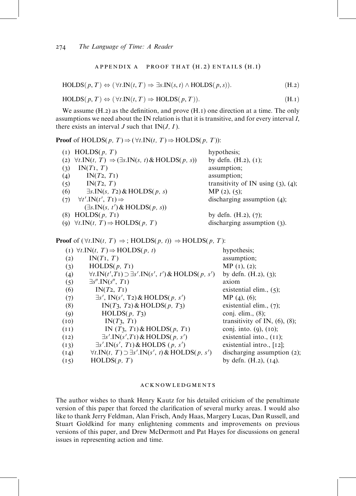# appendix a proof that (h.2) entails (h.i)

$$
HOLDS(p, T) \Leftrightarrow (\forall t. IN(t, T) \Rightarrow \exists s. IN(s, t) \land HOLDS(p, s)).
$$
\n
$$
(H.2)
$$

$$
HOLDS(p, T) \Leftrightarrow (\forall t \cdot IN(t, T) \Rightarrow HOLDS(p, T)). \tag{H.1}
$$

We assume (H.2) as the definition, and prove (H.1) one direction at a time. The only assumptions we need about the IN relation is that it is transitive, and for every interval I, there exists an interval  $J$  such that  $IN(J, I)$ .

**Proof** of HOLDS( $p, T$ )  $\Rightarrow$  ( $\forall t$ .IN( $t, T$ )  $\Rightarrow$  HOLDS( $p, T$ )):

| $(I)$ HOLDS $(p, T)$                                                                                                 | hypothesis;                              |  |  |  |
|----------------------------------------------------------------------------------------------------------------------|------------------------------------------|--|--|--|
| (2) $\forall t.\mathbf{IN}(t, T) \Rightarrow (\exists s.\mathbf{IN}(s, t) \& \mathbf{HOLDS}(p, s))$                  | by defn. $(H.2)$ , $(1)$ ;               |  |  |  |
| IN(TI, T)<br>(3)                                                                                                     | assumption;                              |  |  |  |
| $IN(T_2, T_1)$<br>(4)                                                                                                | assumption;                              |  |  |  |
| (5)<br>$IN(T_2, T)$                                                                                                  | transitivity of IN using $(3)$ , $(4)$ ; |  |  |  |
| $\exists s. IN(s, T_2) \& \text{HOLDS}(p, s)$<br>(6)                                                                 | MP $(2), (5);$                           |  |  |  |
| $\forall t' . \text{IN}(t', T) \Rightarrow$<br>(7)                                                                   | discharging assumption $(4)$ ;           |  |  |  |
| $(\exists s. IN(s, t') \& HOLDS(p, s))$                                                                              |                                          |  |  |  |
| (8) HOLDS $(p, T_1)$                                                                                                 | by defn. $(H.2)$ , $(7)$ ;               |  |  |  |
| (9) $\forall t \cdot \text{IN}(t, T) \Rightarrow \text{HOLDS}(p, T)$                                                 | discharging assumption $(3)$ .           |  |  |  |
|                                                                                                                      |                                          |  |  |  |
| <b>Proof</b> of $(\forall t.\mathbf{IN}(t, T) \Rightarrow; \mathbf{HOLDS}(p, t)) \Rightarrow \mathbf{HOLDS}(p, T)$ : |                                          |  |  |  |

|      | (1) $\forall t.\mathbf{IN}(t, T) \Rightarrow \mathbf{HOLDS}(p, t)$                                      | hypothesis;                         |
|------|---------------------------------------------------------------------------------------------------------|-------------------------------------|
| (2)  | IN(TI, T)                                                                                               | assumption;                         |
| (3)  | HOLDS(p, T <sub>I</sub> )                                                                               | MP (1), (2);                        |
| (4)  | $\forall t.\mathbf{IN}(t',T\mathbf{I}) \supset \exists s'.\mathbf{IN}(s', t') \& \mathbf{HOLDS}(p, s')$ | by defn. $(H.2)$ , $(3)$ ;          |
| (5)  | $\exists s''.IN(s'', T_1)$                                                                              | axiom                               |
| (6)  | IN(T2, T1)                                                                                              | existential elim., $(5)$ ;          |
| (7)  | $\exists s', \text{IN}(s', \text{T2}) \& \text{HOLDS}(p, s')$                                           | MP $(4)$ , $(6)$ ;                  |
| (8)  | IN(T3, T2) & HOLDS(p, T3)                                                                               | existential elim., $(7)$ ;          |
| (9)  | HOLDS $(p, T_3)$                                                                                        | conj. elim., $(8)$ ;                |
| (10) | $IN(T_3, T_1)$                                                                                          | transitivity of IN, $(6)$ , $(8)$ ; |
| (11) | IN $(T_3, T_1)$ & HOLDS $(p, T_1)$                                                                      | conj. into. $(9)$ , $(10)$ ;        |
| (12) | $\exists s'.IN(s',TI) \& HOLDS(p, s')$                                                                  | existential into., $(11)$ ;         |
| (13) | $\exists s'.IN(s', TI) \& HOLDS(p, s')$                                                                 | existential intro., $[12]$ ;        |
| (14) | $\forall t.\mathbf{IN}(t, T) \supset \exists s'.\mathbf{IN}(s', t) \& \mathbf{HOLDS}(p, s')$            | discharging assumption $(2)$ ;      |
| (15) | HOLDS(p, T)                                                                                             | by defn. $(H.2)$ , $(14)$ .         |
|      |                                                                                                         |                                     |

#### acknowledgments

The author wishes to thank Henry Kautz for his detailed criticism of the penultimate version of this paper that forced the clarification of several murky areas. I would also like to thank Jerry Feldman, Alan Frisch, Andy Haas, Margery Lucas, Dan Russell, and Stuart Goldkind for many enlightening comments and improvements on previous versions of this paper, and Drew McDermott and Pat Hayes for discussions on general issues in representing action and time.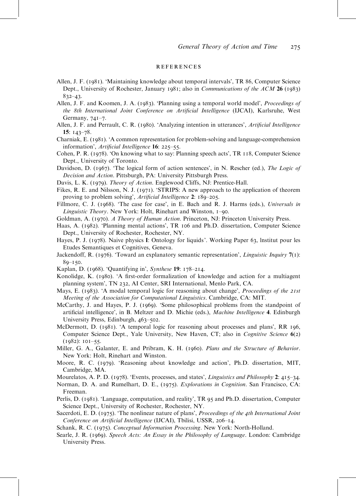#### **REFERENCES**

- Allen, J. F. (1981). 'Maintaining knowledge about temporal intervals', TR 86, Computer Science Dept., University of Rochester, January 1981; also in Communications of the ACM 26 (1983) 832–43.
- Allen, J. F. and Koomen, J. A. (1983). 'Planning using a temporal world model', Proceedings of the 8th International Joint Conference on Artificial Intelligence (IJCAI), Karlsruhe, West Germany, 741–7.
- Allen, J. F. and Perrault, C. R. (1980). 'Analyzing intention in utterances', Artificial Intelligence 15: 143–78.
- Charniak, E. (1981). 'A common representation for problem-solving and language-comprehension information', Artificial Intelligence 16: 225–55.
- Cohen, P. R. (1978). 'On knowing what to say: Planning speech acts', TR 118, Computer Science Dept., University of Toronto.
- Davidson, D. (1967). 'The logical form of action sentences', in N. Rescher (ed.), The Logic of Decision and Action. Pittsburgh, PA: University Pittsburgh Press.
- Davis, L. K. (1979). Theory of Action. Englewood Cliffs, NJ: Prentice-Hall.
- Fikes, R. E. and Nilsson, N. J. (1971). 'STRIPS: A new approach to the application of theorem proving to problem solving', Artificial Intelligence 2: 189–205.
- Fillmore, C. J. (1968). 'The case for case', in E. Bach and R. J. Harms (eds.), Universals in Linguistic Theory. New York: Holt, Rinehart and Winston, 1–90.
- Goldman, A. (1970). A Theory of Human Action. Princeton, NJ: Princeton University Press.
- Haas, A. (1982). 'Planning mental actions', TR 106 and Ph.D. dissertation, Computer Science Dept., University of Rochester, Rochester, NY.
- Hayes, P. J. (1978). Naive physics I: Ontology for liquids'. Working Paper 63, lnstitut pour les Etudes Semantiques et Cognitives, Geneva.
- Jackendoff, R. (1976). 'Toward an explanatory semantic representation', Linguistic Inquiry  $7(1)$ : 89–150.
- Kaplan, D. (1968). 'Quantifying in', Synthese 19: 178–214.
- Konolidge, K. (1980). 'A first-order formalization of knowledge and action for a multiagent planning system', TN 232, AI Center, SRI International, Menlo Park, CA.
- Mays, E. (1983). 'A modal temporal logic for reasoning about change', *Proceedings of the 21st* Meeting of the Association for Computational Linguistics. Cambridge, CA: MIT.
- McCarthy, J. and Hayes, P. J. (1969). 'Some philosophical problems from the standpoint of artificial intelligence', in B. Meltzer and D. Michie (eds.), Machine Intelligence 4. Edinburgh University Press, Edinburgh, 463–502.
- McDermott, D. (1981). 'A temporal logic for reasoning about processes and plans', RR 196, Computer Science Dept., Yale University, New Haven, CT; also in *Cognitive Science* 6(2) (1982): 101–55.
- Miller, G. A., Galanter, E. and Pribram, K. H. (1960). Plans and the Structure of Behavior. New York: Holt, Rinehart and Winston.
- Moore, R. C. (1979). 'Reasoning about knowledge and action', Ph.D. dissertation, MIT, Cambridge, MA.

Mourelatos, A. P. D. (1978). 'Events, processes, and states', *Linguistics and Philosophy* 2: 415–34.

- Norman, D. A. and Rumelhart, D. E., (1975). Explorations in Cognition. San Francisco, CA: Freeman.
- Perlis, D. (1981). 'Language, computation, and reality', TR 95 and Ph.D. dissertation, Computer Science Dept., University of Rochester, Rochester, NY.
- Sacerdoti, E. D. (1975). 'The nonlinear nature of plans', *Proceedings of the 4th International Joint* Conference on Artificial Intelligence (IJCAI), Tbilisi, USSR, 206–14.
- Schank, R. C. (1975). Conceptual Information Processing. New York: North-Holland.
- Searle, J. R. (1969). Speech Acts: An Essay in the Philosophy of Language. London: Cambridge University Press.